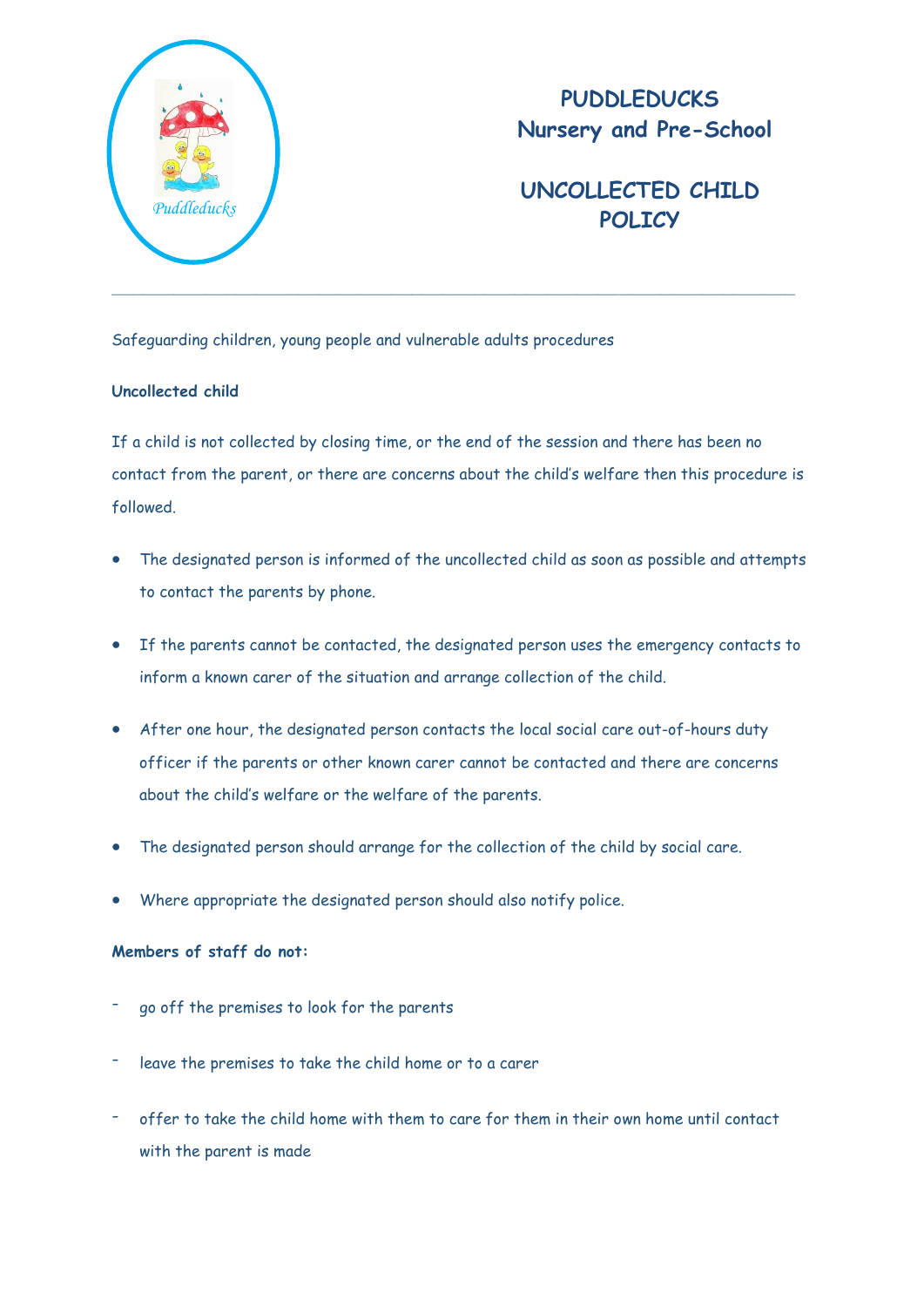

## **PUDDLEDUCKS Nursery and Pre-School**

## **UNCOLLECTED CHILD**  *Puddleducks* **POLICY**

Safeguarding children, young people and vulnerable adults procedures

## **Uncollected child**

If a child is not collected by closing time, or the end of the session and there has been no contact from the parent, or there are concerns about the child's welfare then this procedure is followed.

- The designated person is informed of the uncollected child as soon as possible and attempts to contact the parents by phone.
- If the parents cannot be contacted, the designated person uses the emergency contacts to inform a known carer of the situation and arrange collection of the child.
- After one hour, the designated person contacts the local social care out-of-hours duty officer if the parents or other known carer cannot be contacted and there are concerns about the child's welfare or the welfare of the parents.
- The designated person should arrange for the collection of the child by social care.
- Where appropriate the designated person should also notify police.

## **Members of staff do not:**

- go off the premises to look for the parents
- leave the premises to take the child home or to a carer
- offer to take the child home with them to care for them in their own home until contact with the parent is made